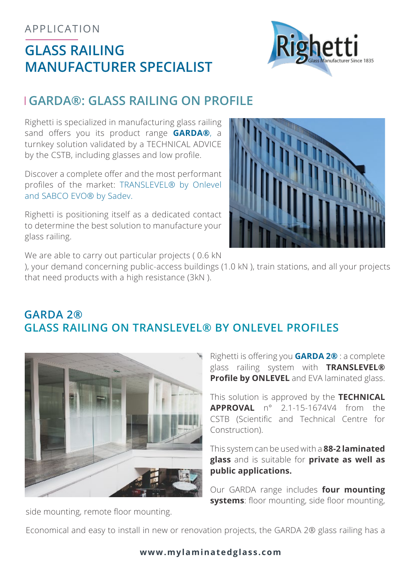### APPLICATION

# **GLASS RAILING MANUFACTURER SPECIALIST**



# **GARDA®: GLASS RAILING ON PROFILE**

Righetti is specialized in manufacturing glass railing sand offers you its product range **GARDA®**, a turnkey solution validated by a TECHNICAL ADVICE by the CSTB, including glasses and low profile.

Discover a complete offer and the most performant profiles of the market: TRANSLEVEL® by Onlevel and SABCO EVO® by Sadev.

Righetti is positioning itself as a dedicated contact to determine the best solution to manufacture your glass railing.



We are able to carry out particular projects (0.6 kN)

), your demand concerning public-access buildings (1.0 kN ), train stations, and all your projects that need products with a high resistance (3kN ).

# **GARDA 2® GLASS RAILING ON TRANSLEVEL® BY ONLEVEL PROFILES**



Righetti is offering you **GARDA 2®** : a complete glass railing system with **TRANSLEVEL® Profile by ONLEVEL** and EVA laminated glass.

This solution is approved by the **TECHNICAL APPROVAL** n° 2.1-15-1674V4 from the CSTB (Scientific and Technical Centre for Construction).

This system can be used with a **88-2 laminated glass** and is suitable for **private as well as public applications.**

Our GARDA range includes **four mounting systems**: floor mounting, side floor mounting,

side mounting, remote floor mounting.

Economical and easy to install in new or renovation projects, the GARDA 2® glass railing has a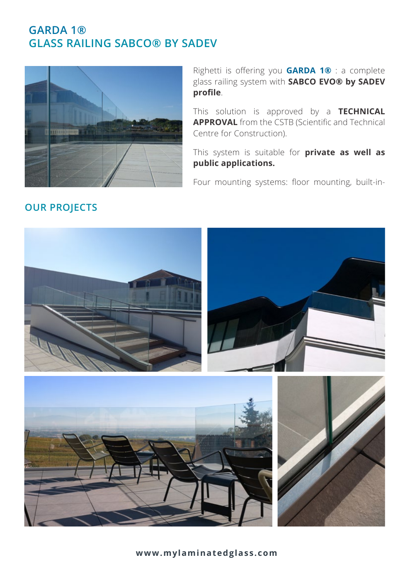## **GARDA 1® GLASS RAILING SABCO® BY SADEV**



Righetti is offering you **GARDA 1®** : a complete glass railing system with **SABCO EVO® by SADEV profile**.

This solution is approved by a **TECHNICAL APPROVAL** from the CSTB (Scientific and Technical Centre for Construction).

This system is suitable for **private as well as public applications.**

Four mounting systems: floor mounting, built-in-



## **OUR PROJECTS**

**www.mylaminatedglass.com**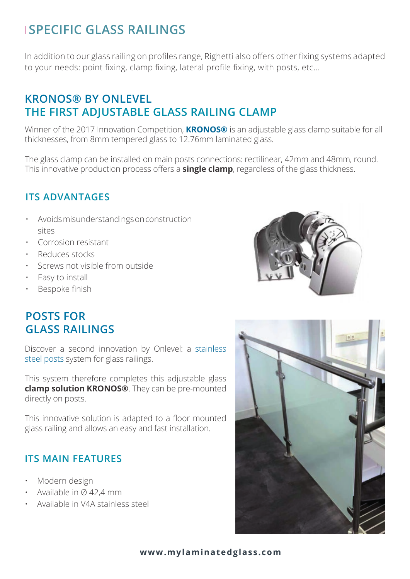# **SPECIFIC GLASS RAILINGS**

In addition to our glass railing on profiles range, Righetti also offers other fixing systems adapted to your needs: point fixing, clamp fixing, lateral profile fixing, with posts, etc…

# **KRONOS® BY ONLEVEL THE FIRST ADJUSTABLE GLASS RAILING CLAMP**

Winner of the 2017 Innovation Competition, **KRONOS®** is an adjustable glass clamp suitable for all thicknesses, from 8mm tempered glass to 12.76mm laminated glass.

The glass clamp can be installed on main posts connections: rectilinear, 42mm and 48mm, round. This innovative production process offers a **single clamp**, regardless of the glass thickness.

### **ITS ADVANTAGES**

- Avoids misunderstandings on construction sites
- Corrosion resistant
- Reduces stocks
- Screws not visible from outside
- Easy to install
- Bespoke finish

# **POSTS FOR GLASS RAILINGS**

Discover a second innovation by Onlevel: a stainless steel posts system for glass railings.

This system therefore completes this adjustable glass **clamp solution KRONOS®**. They can be pre-mounted directly on posts.

This innovative solution is adapted to a floor mounted glass railing and allows an easy and fast installation.

#### **ITS MAIN FEATURES**

- Modern design
- Available in Ø 42,4 mm
- Available in V4A stainless steel





#### **www.mylaminatedglass.com**